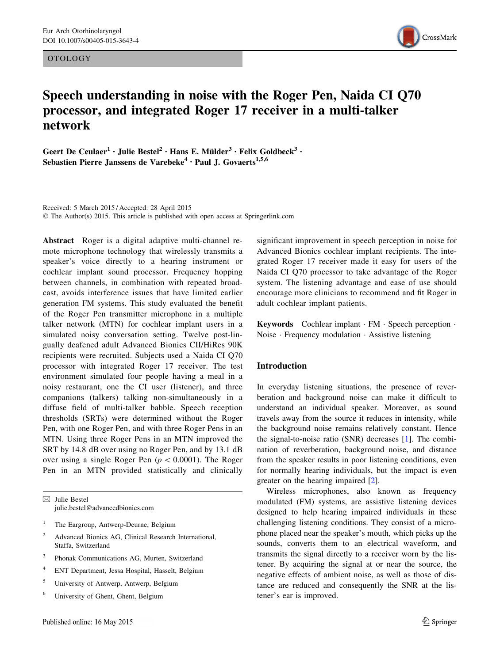OTOLOGY



# Speech understanding in noise with the Roger Pen, Naida CI Q70 processor, and integrated Roger 17 receiver in a multi-talker network

Geert De Ceulaer<sup>1</sup> · Julie Bestel<sup>2</sup> · Hans E. Mülder<sup>3</sup> · Felix Goldbeck<sup>3</sup> · Sebastien Pierre Janssens de Varebeke<sup>4</sup> · Paul J. Govaerts<sup>1,5,6</sup>

Received: 5 March 2015 / Accepted: 28 April 2015 © The Author(s) 2015. This article is published with open access at Springerlink.com

Abstract Roger is a digital adaptive multi-channel remote microphone technology that wirelessly transmits a speaker's voice directly to a hearing instrument or cochlear implant sound processor. Frequency hopping between channels, in combination with repeated broadcast, avoids interference issues that have limited earlier generation FM systems. This study evaluated the benefit of the Roger Pen transmitter microphone in a multiple talker network (MTN) for cochlear implant users in a simulated noisy conversation setting. Twelve post-lingually deafened adult Advanced Bionics CII/HiRes 90K recipients were recruited. Subjects used a Naida CI Q70 processor with integrated Roger 17 receiver. The test environment simulated four people having a meal in a noisy restaurant, one the CI user (listener), and three companions (talkers) talking non-simultaneously in a diffuse field of multi-talker babble. Speech reception thresholds (SRTs) were determined without the Roger Pen, with one Roger Pen, and with three Roger Pens in an MTN. Using three Roger Pens in an MTN improved the SRT by 14.8 dB over using no Roger Pen, and by 13.1 dB over using a single Roger Pen ( $p < 0.0001$ ). The Roger Pen in an MTN provided statistically and clinically

 $\boxtimes$  Julie Bestel julie.bestel@advancedbionics.com

- <sup>1</sup> The Eargroup, Antwerp-Deurne, Belgium
- <sup>2</sup> Advanced Bionics AG, Clinical Research International, Staffa, Switzerland
- <sup>3</sup> Phonak Communications AG, Murten, Switzerland
- <sup>4</sup> ENT Department, Jessa Hospital, Hasselt, Belgium
- <sup>5</sup> University of Antwerp, Antwerp, Belgium
- <sup>6</sup> University of Ghent, Ghent, Belgium

significant improvement in speech perception in noise for Advanced Bionics cochlear implant recipients. The integrated Roger 17 receiver made it easy for users of the Naida CI Q70 processor to take advantage of the Roger system. The listening advantage and ease of use should encourage more clinicians to recommend and fit Roger in adult cochlear implant patients.

Keywords Cochlear implant · FM · Speech perception · Noise - Frequency modulation - Assistive listening

## Introduction

In everyday listening situations, the presence of reverberation and background noise can make it difficult to understand an individual speaker. Moreover, as sound travels away from the source it reduces in intensity, while the background noise remains relatively constant. Hence the signal-to-noise ratio (SNR) decreases [1]. The combination of reverberation, background noise, and distance from the speaker results in poor listening conditions, even for normally hearing individuals, but the impact is even greater on the hearing impaired [2].

Wireless microphones, also known as frequency modulated (FM) systems, are assistive listening devices designed to help hearing impaired individuals in these challenging listening conditions. They consist of a microphone placed near the speaker's mouth, which picks up the sounds, converts them to an electrical waveform, and transmits the signal directly to a receiver worn by the listener. By acquiring the signal at or near the source, the negative effects of ambient noise, as well as those of distance are reduced and consequently the SNR at the listener's ear is improved.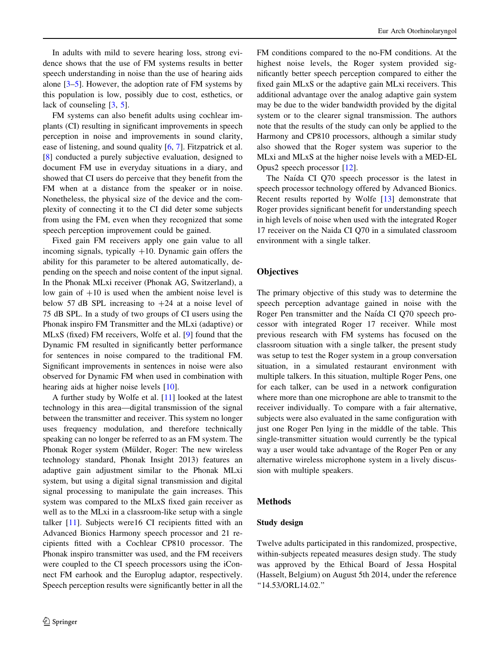In adults with mild to severe hearing loss, strong evidence shows that the use of FM systems results in better speech understanding in noise than the use of hearing aids alone [3–5]. However, the adoption rate of FM systems by this population is low, possibly due to cost, esthetics, or lack of counseling [3, 5].

FM systems can also benefit adults using cochlear implants (CI) resulting in significant improvements in speech perception in noise and improvements in sound clarity, ease of listening, and sound quality [6, 7]. Fitzpatrick et al. [8] conducted a purely subjective evaluation, designed to document FM use in everyday situations in a diary, and showed that CI users do perceive that they benefit from the FM when at a distance from the speaker or in noise. Nonetheless, the physical size of the device and the complexity of connecting it to the CI did deter some subjects from using the FM, even when they recognized that some speech perception improvement could be gained.

Fixed gain FM receivers apply one gain value to all incoming signals, typically  $+10$ . Dynamic gain offers the ability for this parameter to be altered automatically, depending on the speech and noise content of the input signal. In the Phonak MLxi receiver (Phonak AG, Switzerland), a low gain of  $+10$  is used when the ambient noise level is below 57 dB SPL increasing to  $+24$  at a noise level of 75 dB SPL. In a study of two groups of CI users using the Phonak inspiro FM Transmitter and the MLxi (adaptive) or MLxS (fixed) FM receivers, Wolfe et al. [9] found that the Dynamic FM resulted in significantly better performance for sentences in noise compared to the traditional FM. Significant improvements in sentences in noise were also observed for Dynamic FM when used in combination with hearing aids at higher noise levels [10].

A further study by Wolfe et al. [11] looked at the latest technology in this area—digital transmission of the signal between the transmitter and receiver. This system no longer uses frequency modulation, and therefore technically speaking can no longer be referred to as an FM system. The Phonak Roger system (Mülder, Roger: The new wireless technology standard, Phonak Insight 2013) features an adaptive gain adjustment similar to the Phonak MLxi system, but using a digital signal transmission and digital signal processing to manipulate the gain increases. This system was compared to the MLxS fixed gain receiver as well as to the MLxi in a classroom-like setup with a single talker [11]. Subjects were16 CI recipients fitted with an Advanced Bionics Harmony speech processor and 21 recipients fitted with a Cochlear CP810 processor. The Phonak inspiro transmitter was used, and the FM receivers were coupled to the CI speech processors using the iConnect FM earhook and the Europlug adaptor, respectively. Speech perception results were significantly better in all the

FM conditions compared to the no-FM conditions. At the highest noise levels, the Roger system provided significantly better speech perception compared to either the fixed gain MLxS or the adaptive gain MLxi receivers. This additional advantage over the analog adaptive gain system may be due to the wider bandwidth provided by the digital system or to the clearer signal transmission. The authors note that the results of the study can only be applied to the Harmony and CP810 processors, although a similar study also showed that the Roger system was superior to the MLxi and MLxS at the higher noise levels with a MED-EL Opus2 speech processor [12].

The Naída CI Q70 speech processor is the latest in speech processor technology offered by Advanced Bionics. Recent results reported by Wolfe [13] demonstrate that Roger provides significant benefit for understanding speech in high levels of noise when used with the integrated Roger 17 receiver on the Naida CI Q70 in a simulated classroom environment with a single talker.

## **Objectives**

The primary objective of this study was to determine the speech perception advantage gained in noise with the Roger Pen transmitter and the Naı´da CI Q70 speech processor with integrated Roger 17 receiver. While most previous research with FM systems has focused on the classroom situation with a single talker, the present study was setup to test the Roger system in a group conversation situation, in a simulated restaurant environment with multiple talkers. In this situation, multiple Roger Pens, one for each talker, can be used in a network configuration where more than one microphone are able to transmit to the receiver individually. To compare with a fair alternative, subjects were also evaluated in the same configuration with just one Roger Pen lying in the middle of the table. This single-transmitter situation would currently be the typical way a user would take advantage of the Roger Pen or any alternative wireless microphone system in a lively discussion with multiple speakers.

## Methods

#### Study design

Twelve adults participated in this randomized, prospective, within-subjects repeated measures design study. The study was approved by the Ethical Board of Jessa Hospital (Hasselt, Belgium) on August 5th 2014, under the reference ''14.53/ORL14.02.''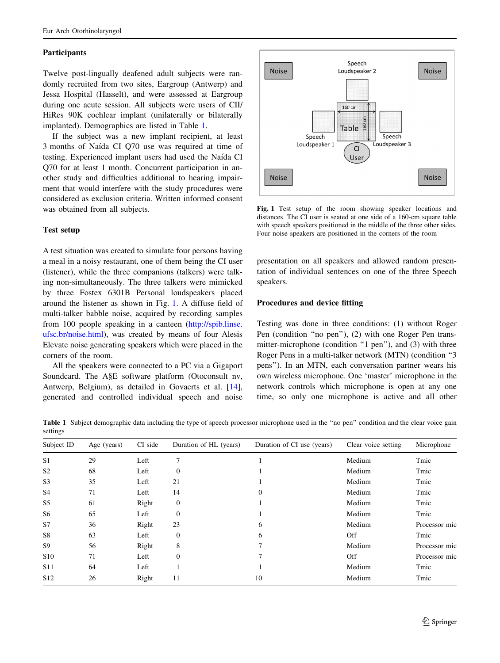#### Participants

Twelve post-lingually deafened adult subjects were randomly recruited from two sites, Eargroup (Antwerp) and Jessa Hospital (Hasselt), and were assessed at Eargroup during one acute session. All subjects were users of CII/ HiRes 90K cochlear implant (unilaterally or bilaterally implanted). Demographics are listed in Table 1.

If the subject was a new implant recipient, at least 3 months of Naı´da CI Q70 use was required at time of testing. Experienced implant users had used the Naı´da CI Q70 for at least 1 month. Concurrent participation in another study and difficulties additional to hearing impairment that would interfere with the study procedures were considered as exclusion criteria. Written informed consent was obtained from all subjects.

## Test setup

A test situation was created to simulate four persons having a meal in a noisy restaurant, one of them being the CI user (listener), while the three companions (talkers) were talking non-simultaneously. The three talkers were mimicked by three Fostex 6301B Personal loudspeakers placed around the listener as shown in Fig. 1. A diffuse field of multi-talker babble noise, acquired by recording samples from 100 people speaking in a canteen ([http://spib.linse.](http://spib.linse.ufsc.br/noise.html) [ufsc.br/noise.html](http://spib.linse.ufsc.br/noise.html)), was created by means of four Alesis Elevate noise generating speakers which were placed in the corners of the room.

All the speakers were connected to a PC via a Gigaport Soundcard. The A§E software platform (Otoconsult nv, Antwerp, Belgium), as detailed in Govaerts et al. [14], generated and controlled individual speech and noise



Fig. 1 Test setup of the room showing speaker locations and distances. The CI user is seated at one side of a 160-cm square table with speech speakers positioned in the middle of the three other sides. Four noise speakers are positioned in the corners of the room

presentation on all speakers and allowed random presentation of individual sentences on one of the three Speech speakers.

#### Procedures and device fitting

Testing was done in three conditions: (1) without Roger Pen (condition ''no pen''), (2) with one Roger Pen transmitter-microphone (condition "1 pen"), and (3) with three Roger Pens in a multi-talker network (MTN) (condition ''3 pens''). In an MTN, each conversation partner wears his own wireless microphone. One 'master' microphone in the network controls which microphone is open at any one time, so only one microphone is active and all other

Table 1 Subject demographic data including the type of speech processor microphone used in the "no pen" condition and the clear voice gain settings

| Subject ID      | Age (years) | CI side | Duration of HL (years) | Duration of CI use (years) | Clear voice setting | Microphone    |
|-----------------|-------------|---------|------------------------|----------------------------|---------------------|---------------|
| S <sub>1</sub>  | 29          | Left    | 7                      |                            | Medium              | Tmic          |
| S <sub>2</sub>  | 68          | Left    | $\boldsymbol{0}$       |                            | Medium              | Tmic          |
| S <sub>3</sub>  | 35          | Left    | 21                     |                            | Medium              | Tmic          |
| S4              | 71          | Left    | 14                     | $\Omega$                   | Medium              | Tmic          |
| S <sub>5</sub>  | 61          | Right   | $\boldsymbol{0}$       |                            | Medium              | Tmic          |
| S6              | 65          | Left    | $\overline{0}$         |                            | Medium              | Tmic          |
| S7              | 36          | Right   | 23                     | 6                          | Medium              | Processor mic |
| S8              | 63          | Left    | $\boldsymbol{0}$       | 6                          | <b>Off</b>          | Tmic          |
| S9              | 56          | Right   | 8                      |                            | Medium              | Processor mic |
| <b>S10</b>      | 71          | Left    | $\overline{0}$         | 7                          | <b>Off</b>          | Processor mic |
| <b>S11</b>      | 64          | Left    |                        |                            | Medium              | Tmic          |
| S <sub>12</sub> | 26          | Right   | 11                     | 10                         | Medium              | Tmic          |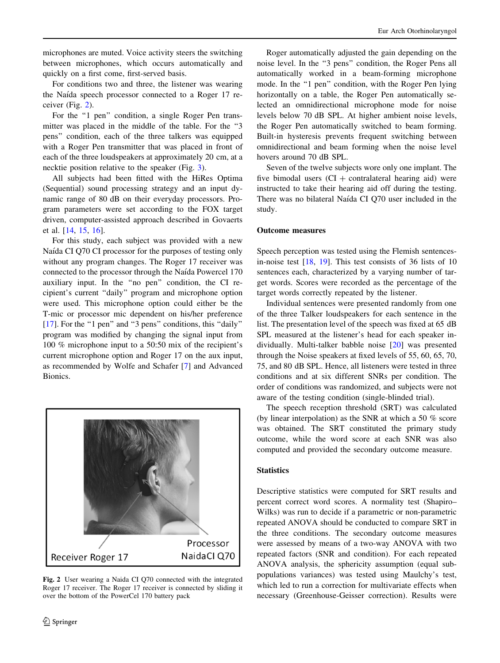microphones are muted. Voice activity steers the switching between microphones, which occurs automatically and quickly on a first come, first-served basis.

For conditions two and three, the listener was wearing the Naı´da speech processor connected to a Roger 17 receiver (Fig. 2).

For the "1 pen" condition, a single Roger Pen transmitter was placed in the middle of the table. For the ''3 pens'' condition, each of the three talkers was equipped with a Roger Pen transmitter that was placed in front of each of the three loudspeakers at approximately 20 cm, at a necktie position relative to the speaker (Fig. 3).

All subjects had been fitted with the HiRes Optima (Sequential) sound processing strategy and an input dynamic range of 80 dB on their everyday processors. Program parameters were set according to the FOX target driven, computer-assisted approach described in Govaerts et al. [14, 15, 16].

For this study, each subject was provided with a new Naída CI Q70 CI processor for the purposes of testing only without any program changes. The Roger 17 receiver was connected to the processor through the Naı´da Powercel 170 auxiliary input. In the ''no pen'' condition, the CI recipient's current ''daily'' program and microphone option were used. This microphone option could either be the T-mic or processor mic dependent on his/her preference [17]. For the "1 pen" and "3 pens" conditions, this "daily" program was modified by changing the signal input from 100 % microphone input to a 50:50 mix of the recipient's current microphone option and Roger 17 on the aux input, as recommended by Wolfe and Schafer [7] and Advanced Bionics.



Fig. 2 User wearing a Naida CI Q70 connected with the integrated Roger 17 receiver. The Roger 17 receiver is connected by sliding it over the bottom of the PowerCel 170 battery pack

Roger automatically adjusted the gain depending on the noise level. In the ''3 pens'' condition, the Roger Pens all automatically worked in a beam-forming microphone mode. In the "1 pen" condition, with the Roger Pen lying horizontally on a table, the Roger Pen automatically selected an omnidirectional microphone mode for noise levels below 70 dB SPL. At higher ambient noise levels, the Roger Pen automatically switched to beam forming. Built-in hysteresis prevents frequent switching between omnidirectional and beam forming when the noise level hovers around 70 dB SPL.

Seven of the twelve subjects wore only one implant. The five bimodal users  $(CI + contralateral \text{ hearing aid})$  were instructed to take their hearing aid off during the testing. There was no bilateral Naída CI Q70 user included in the study.

## Outcome measures

Speech perception was tested using the Flemish sentencesin-noise test [18, 19]. This test consists of 36 lists of 10 sentences each, characterized by a varying number of target words. Scores were recorded as the percentage of the target words correctly repeated by the listener.

Individual sentences were presented randomly from one of the three Talker loudspeakers for each sentence in the list. The presentation level of the speech was fixed at 65 dB SPL measured at the listener's head for each speaker individually. Multi-talker babble noise [20] was presented through the Noise speakers at fixed levels of 55, 60, 65, 70, 75, and 80 dB SPL. Hence, all listeners were tested in three conditions and at six different SNRs per condition. The order of conditions was randomized, and subjects were not aware of the testing condition (single-blinded trial).

The speech reception threshold (SRT) was calculated (by linear interpolation) as the SNR at which a 50 % score was obtained. The SRT constituted the primary study outcome, while the word score at each SNR was also computed and provided the secondary outcome measure.

# **Statistics**

Descriptive statistics were computed for SRT results and percent correct word scores. A normality test (Shapiro– Wilks) was run to decide if a parametric or non-parametric repeated ANOVA should be conducted to compare SRT in the three conditions. The secondary outcome measures were assessed by means of a two-way ANOVA with two repeated factors (SNR and condition). For each repeated ANOVA analysis, the sphericity assumption (equal subpopulations variances) was tested using Maulchy's test, which led to run a correction for multivariate effects when necessary (Greenhouse-Geisser correction). Results were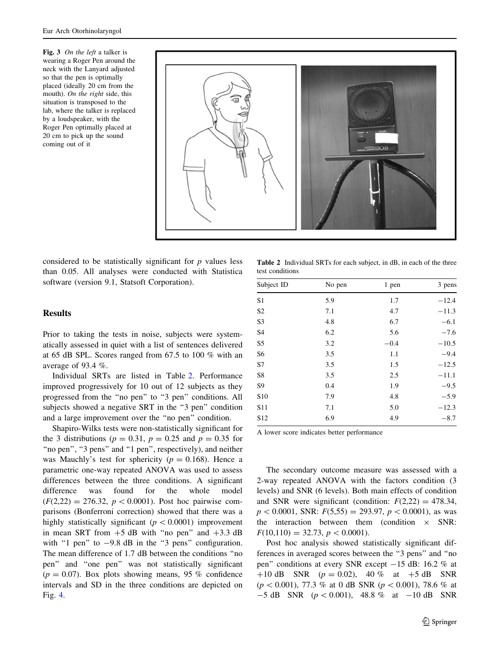Fig. 3 On the left a talker is wearing a Roger Pen around the neck with the Lanyard adjusted so that the pen is optimally placed (ideally 20 cm from the mouth). On the right side, this situation is transposed to the lab, where the talker is replaced by a loudspeaker, with the Roger Pen optimally placed at 20 cm to pick up the sound coming out of it



considered to be statistically significant for  $p$  values less than 0.05. All analyses were conducted with Statistica software (version 9.1, Statsoft Corporation).

#### **Results**

Prior to taking the tests in noise, subjects were systematically assessed in quiet with a list of sentences delivered at 65 dB SPL. Scores ranged from 67.5 to 100 % with an average of 93.4 %.

Individual SRTs are listed in Table 2. Performance improved progressively for 10 out of 12 subjects as they progressed from the "no pen" to "3 pen" conditions. All subjects showed a negative SRT in the "3 pen" condition and a large improvement over the ''no pen'' condition.

Shapiro-Wilks tests were non-statistically significant for the 3 distributions ( $p = 0.31$ ,  $p = 0.25$  and  $p = 0.35$  for "no pen", "3 pens" and "1 pen", respectively), and neither was Mauchly's test for sphericity ( $p = 0.168$ ). Hence a parametric one-way repeated ANOVA was used to assess differences between the three conditions. A significant difference was found for the whole model  $(F(2,22) = 276.32, p < 0.0001)$ . Post hoc pairwise comparisons (Bonferroni correction) showed that there was a highly statistically significant ( $p < 0.0001$ ) improvement in mean SRT from  $+5$  dB with "no pen" and  $+3.3$  dB with "1 pen" to  $-9.8$  dB in the "3 pens" configuration. The mean difference of 1.7 dB between the conditions ''no pen'' and ''one pen'' was not statistically significant  $(p = 0.07)$ . Box plots showing means, 95 % confidence intervals and SD in the three conditions are depicted on Fig. 4.

Table 2 Individual SRTs for each subject, in dB, in each of the three test conditions

| Subject ID      | No pen | 1 pen  | 3 pens  |  |  |  |  |
|-----------------|--------|--------|---------|--|--|--|--|
| S1              | 5.9    | 1.7    | $-12.4$ |  |  |  |  |
| S <sub>2</sub>  | 7.1    | 4.7    | $-11.3$ |  |  |  |  |
| S <sub>3</sub>  | 4.8    | 6.7    | $-6.1$  |  |  |  |  |
| S <sub>4</sub>  | 6.2    | 5.6    | $-7.6$  |  |  |  |  |
| S <sub>5</sub>  | 3.2    | $-0.4$ | $-10.5$ |  |  |  |  |
| S <sub>6</sub>  | 3.5    | 1.1    | $-9.4$  |  |  |  |  |
| S7              | 3.5    | 1.5    | $-12.5$ |  |  |  |  |
| S8              | 3.5    | 2.5    | $-11.1$ |  |  |  |  |
| S <sub>9</sub>  | 0.4    | 1.9    | $-9.5$  |  |  |  |  |
| S <sub>10</sub> | 7.9    | 4.8    | $-5.9$  |  |  |  |  |
| S <sub>11</sub> | 7.1    | 5.0    | $-12.3$ |  |  |  |  |
| S <sub>12</sub> | 6.9    | 4.9    | $-8.7$  |  |  |  |  |

A lower score indicates better performance

The secondary outcome measure was assessed with a 2-way repeated ANOVA with the factors condition (3 levels) and SNR (6 levels). Both main effects of condition and SNR were significant (condition:  $F(2,22) = 478.34$ ,  $p < 0.0001$ , SNR:  $F(5,55) = 293.97, p < 0.0001$ , as was the interaction between them (condition  $\times$  SNR:  $F(10,110) = 32.73, p < 0.0001$ .

Post hoc analysis showed statistically significant differences in averaged scores between the ''3 pens'' and ''no pen'' conditions at every SNR except -15 dB: 16.2 % at +10 dB SNR  $(p = 0.02)$ , 40 % at +5 dB SNR  $(p<0.001)$ , 77.3 % at 0 dB SNR  $(p<0.001)$ , 78.6 % at  $-5$  dB SNR ( $p < 0.001$ ), 48.8 % at  $-10$  dB SNR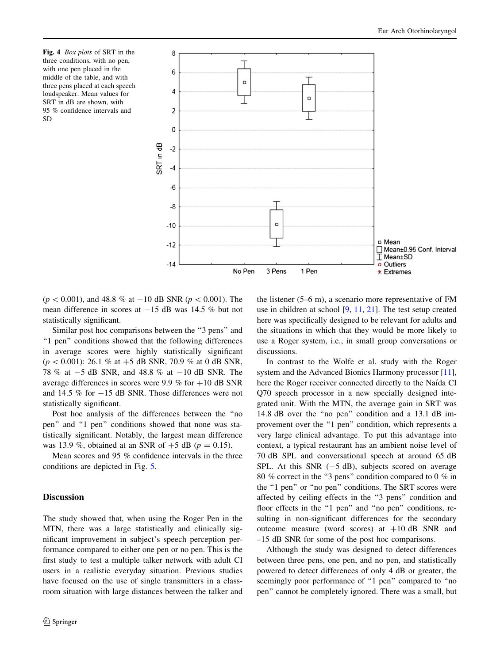Fig. 4 Box plots of SRT in the three conditions, with no pen, with one pen placed in the middle of the table, and with three pens placed at each speech loudspeaker. Mean values for SRT in dB are shown, with 95 % confidence intervals and SD



 $(p < 0.001)$ , and 48.8 % at -10 dB SNR ( $p < 0.001$ ). The mean difference in scores at  $-15$  dB was 14.5 % but not statistically significant.

Similar post hoc comparisons between the ''3 pens'' and "1 pen" conditions showed that the following differences in average scores were highly statistically significant  $(p < 0.001)$ : 26.1 % at  $+5$  dB SNR, 70.9 % at 0 dB SNR, 78 % at  $-5$  dB SNR, and 48.8 % at  $-10$  dB SNR. The average differences in scores were 9.9 % for  $+10$  dB SNR and 14.5  $\%$  for  $-15$  dB SNR. Those differences were not statistically significant.

Post hoc analysis of the differences between the ''no pen'' and ''1 pen'' conditions showed that none was statistically significant. Notably, the largest mean difference was 13.9 %, obtained at an SNR of  $+5$  dB ( $p = 0.15$ ).

Mean scores and 95 % confidence intervals in the three conditions are depicted in Fig. 5.

## Discussion

The study showed that, when using the Roger Pen in the MTN, there was a large statistically and clinically significant improvement in subject's speech perception performance compared to either one pen or no pen. This is the first study to test a multiple talker network with adult CI users in a realistic everyday situation. Previous studies have focused on the use of single transmitters in a classroom situation with large distances between the talker and the listener (5–6 m), a scenario more representative of FM use in children at school [9, 11, 21]. The test setup created here was specifically designed to be relevant for adults and the situations in which that they would be more likely to use a Roger system, i.e., in small group conversations or discussions.

In contrast to the Wolfe et al. study with the Roger system and the Advanced Bionics Harmony processor [11], here the Roger receiver connected directly to the Naída CI Q70 speech processor in a new specially designed integrated unit. With the MTN, the average gain in SRT was 14.8 dB over the ''no pen'' condition and a 13.1 dB improvement over the "1 pen" condition, which represents a very large clinical advantage. To put this advantage into context, a typical restaurant has an ambient noise level of 70 dB SPL and conversational speech at around 65 dB SPL. At this SNR  $(-5 dB)$ , subjects scored on average 80 % correct in the ''3 pens'' condition compared to 0 % in the "1 pen" or "no pen" conditions. The SRT scores were affected by ceiling effects in the ''3 pens'' condition and floor effects in the "1 pen" and "no pen" conditions, resulting in non-significant differences for the secondary outcome measure (word scores) at  $+10$  dB SNR and –15 dB SNR for some of the post hoc comparisons.

Although the study was designed to detect differences between three pens, one pen, and no pen, and statistically powered to detect differences of only 4 dB or greater, the seemingly poor performance of "1 pen" compared to "no pen'' cannot be completely ignored. There was a small, but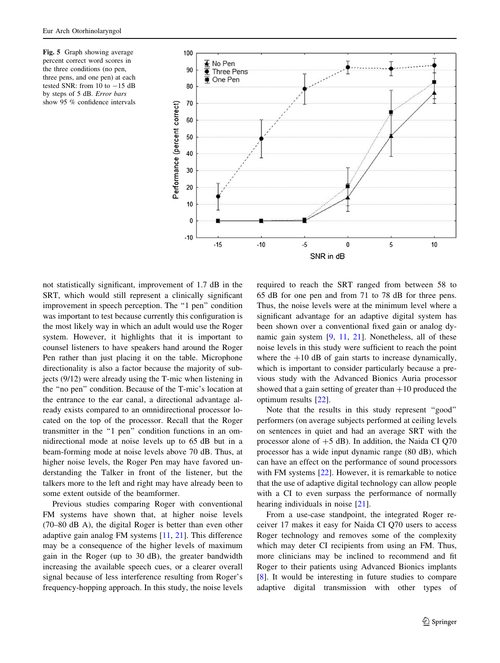Fig. 5 Graph showing average percent correct word scores in the three conditions (no pen, three pens, and one pen) at each tested SNR: from  $10$  to  $-15$  dB by steps of 5 dB. Error bars show 95 % confidence intervals



not statistically significant, improvement of 1.7 dB in the SRT, which would still represent a clinically significant improvement in speech perception. The "1 pen" condition was important to test because currently this configuration is the most likely way in which an adult would use the Roger system. However, it highlights that it is important to counsel listeners to have speakers hand around the Roger Pen rather than just placing it on the table. Microphone directionality is also a factor because the majority of subjects (9/12) were already using the T-mic when listening in the ''no pen'' condition. Because of the T-mic's location at the entrance to the ear canal, a directional advantage already exists compared to an omnidirectional processor located on the top of the processor. Recall that the Roger transmitter in the ''1 pen'' condition functions in an omnidirectional mode at noise levels up to 65 dB but in a beam-forming mode at noise levels above 70 dB. Thus, at higher noise levels, the Roger Pen may have favored understanding the Talker in front of the listener, but the talkers more to the left and right may have already been to some extent outside of the beamformer.

Previous studies comparing Roger with conventional FM systems have shown that, at higher noise levels (70–80 dB A), the digital Roger is better than even other adaptive gain analog FM systems [11, 21]. This difference may be a consequence of the higher levels of maximum gain in the Roger (up to 30 dB), the greater bandwidth increasing the available speech cues, or a clearer overall signal because of less interference resulting from Roger's frequency-hopping approach. In this study, the noise levels required to reach the SRT ranged from between 58 to 65 dB for one pen and from 71 to 78 dB for three pens. Thus, the noise levels were at the minimum level where a significant advantage for an adaptive digital system has been shown over a conventional fixed gain or analog dynamic gain system [9, 11, 21]. Nonetheless, all of these noise levels in this study were sufficient to reach the point where the  $+10$  dB of gain starts to increase dynamically, which is important to consider particularly because a previous study with the Advanced Bionics Auria processor showed that a gain setting of greater than  $+10$  produced the optimum results [22].

Note that the results in this study represent ''good'' performers (on average subjects performed at ceiling levels on sentences in quiet and had an average SRT with the processor alone of  $+5$  dB). In addition, the Naida CI Q70 processor has a wide input dynamic range (80 dB), which can have an effect on the performance of sound processors with FM systems [22]. However, it is remarkable to notice that the use of adaptive digital technology can allow people with a CI to even surpass the performance of normally hearing individuals in noise [21].

From a use-case standpoint, the integrated Roger receiver 17 makes it easy for Naida CI Q70 users to access Roger technology and removes some of the complexity which may deter CI recipients from using an FM. Thus, more clinicians may be inclined to recommend and fit Roger to their patients using Advanced Bionics implants [8]. It would be interesting in future studies to compare adaptive digital transmission with other types of